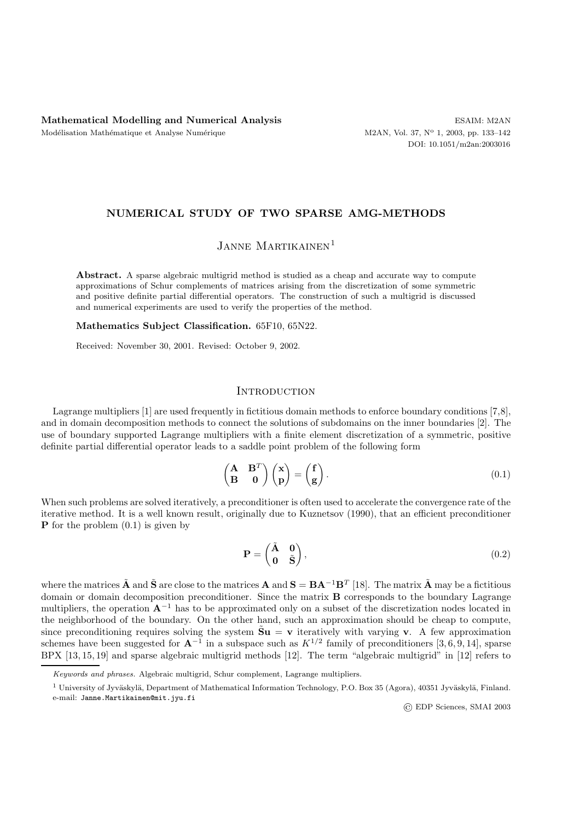## **NUMERICAL STUDY OF TWO SPARSE AMG-METHODS**

# JANNE MARTIKAINEN<sup>1</sup>

**Abstract.** A sparse algebraic multigrid method is studied as a cheap and accurate way to compute approximations of Schur complements of matrices arising from the discretization of some symmetric and positive definite partial differential operators. The construction of such a multigrid is discussed and numerical experiments are used to verify the properties of the method.

**Mathematics Subject Classification.** 65F10, 65N22.

Received: November 30, 2001. Revised: October 9, 2002.

# **INTRODUCTION**

Lagrange multipliers [1] are used frequently in fictitious domain methods to enforce boundary conditions [7,8], and in domain decomposition methods to connect the solutions of subdomains on the inner boundaries [2]. The use of boundary supported Lagrange multipliers with a finite element discretization of a symmetric, positive definite partial differential operator leads to a saddle point problem of the following form

$$
\begin{pmatrix} \mathbf{A} & \mathbf{B}^T \\ \mathbf{B} & \mathbf{0} \end{pmatrix} \begin{pmatrix} \mathbf{x} \\ \mathbf{p} \end{pmatrix} = \begin{pmatrix} \mathbf{f} \\ \mathbf{g} \end{pmatrix} . \tag{0.1}
$$

When such problems are solved iteratively, a preconditioner is often used to accelerate the convergence rate of the iterative method. It is a well known result, originally due to Kuznetsov (1990), that an efficient preconditioner **P** for the problem (0.1) is given by

$$
\mathbf{P} = \begin{pmatrix} \tilde{\mathbf{A}} & \mathbf{0} \\ \mathbf{0} & \tilde{\mathbf{S}} \end{pmatrix},\tag{0.2}
$$

where the matrices  $\tilde{A}$  and  $\tilde{S}$  are close to the matrices  $A$  and  $S = BA^{-1}B^{T}$  [18]. The matrix  $\tilde{A}$  may be a fictitious domain or domain decomposition preconditioner. Since the matrix **B** corresponds to the boundary Lagrange multipliers, the operation **A**−<sup>1</sup> has to be approximated only on a subset of the discretization nodes located in the neighborhood of the boundary. On the other hand, such an approximation should be cheap to compute, since preconditioning requires solving the system  $\tilde{\mathbf{S}}\mathbf{u} = \mathbf{v}$  iteratively with varying **v**. A few approximation schemes have been suggested for  $\mathbf{A}^{-1}$  in a subspace such as  $K^{1/2}$  family of preconditioners [3, 6, 9, 14], sparse BPX [13, 15, 19] and sparse algebraic multigrid methods [12]. The term "algebraic multigrid" in [12] refers to

EDP Sciences, SMAI 2003

Keywords and phrases. Algebraic multigrid, Schur complement, Lagrange multipliers.

<sup>&</sup>lt;sup>1</sup> University of Jyväskylä, Department of Mathematical Information Technology, P.O. Box 35 (Agora), 40351 Jyväskylä, Finland. e-mail: Janne.Martikainen@mit.jyu.fi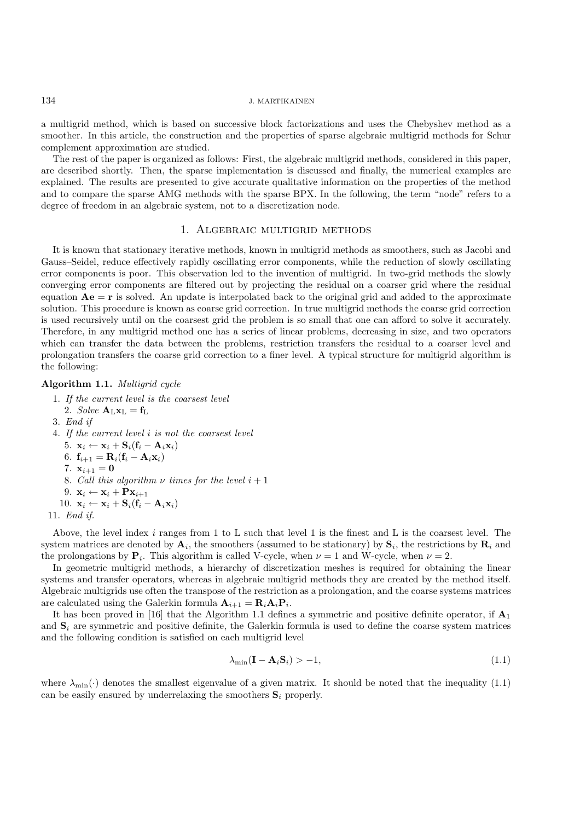a multigrid method, which is based on successive block factorizations and uses the Chebyshev method as a smoother. In this article, the construction and the properties of sparse algebraic multigrid methods for Schur complement approximation are studied.

The rest of the paper is organized as follows: First, the algebraic multigrid methods, considered in this paper, are described shortly. Then, the sparse implementation is discussed and finally, the numerical examples are explained. The results are presented to give accurate qualitative information on the properties of the method and to compare the sparse AMG methods with the sparse BPX. In the following, the term "node" refers to a degree of freedom in an algebraic system, not to a discretization node.

## 1. Algebraic multigrid methods

It is known that stationary iterative methods, known in multigrid methods as smoothers, such as Jacobi and Gauss–Seidel, reduce effectively rapidly oscillating error components, while the reduction of slowly oscillating error components is poor. This observation led to the invention of multigrid. In two-grid methods the slowly converging error components are filtered out by projecting the residual on a coarser grid where the residual equation  $Ae = r$  is solved. An update is interpolated back to the original grid and added to the approximate solution. This procedure is known as coarse grid correction. In true multigrid methods the coarse grid correction is used recursively until on the coarsest grid the problem is so small that one can afford to solve it accurately. Therefore, in any multigrid method one has a series of linear problems, decreasing in size, and two operators which can transfer the data between the problems, restriction transfers the residual to a coarser level and prolongation transfers the coarse grid correction to a finer level. A typical structure for multigrid algorithm is the following:

### **Algorithm 1.1.** *Multigrid cycle*

- 1. *If the current level is the coarsest level* 2. *Solve*  $\mathbf{A}_L \mathbf{x}_L = \mathbf{f}_L$
- 3. *End if*
- 4. *If the current level* i *is not the coarsest level*
	- 5.  $\mathbf{x}_i \leftarrow \mathbf{x}_i + \mathbf{S}_i(\mathbf{f}_i \mathbf{A}_i\mathbf{x}_i)$
	- 6.  $f_{i+1} = R_i(f_i A_i x_i)$
	- 7.  $x_{i+1} = 0$
	- 8. *Call this algorithm*  $\nu$  *times for the level*  $i + 1$
	- 9.  $\mathbf{x}_i \leftarrow \mathbf{x}_i + \mathbf{P} \mathbf{x}_{i+1}$
	- 10.  $\mathbf{x}_i \leftarrow \mathbf{x}_i + \mathbf{S}_i(\mathbf{f}_i \mathbf{A}_i\mathbf{x}_i)$
- 11. *End if.*

Above, the level index i ranges from 1 to L such that level 1 is the finest and L is the coarsest level. The system matrices are denoted by  $\mathbf{A}_i$ , the smoothers (assumed to be stationary) by  $\mathbf{S}_i$ , the restrictions by  $\mathbf{R}_i$  and the prolongations by  $P_i$ . This algorithm is called V-cycle, when  $\nu = 1$  and W-cycle, when  $\nu = 2$ .

In geometric multigrid methods, a hierarchy of discretization meshes is required for obtaining the linear systems and transfer operators, whereas in algebraic multigrid methods they are created by the method itself. Algebraic multigrids use often the transpose of the restriction as a prolongation, and the coarse systems matrices are calculated using the Galerkin formula  $\mathbf{A}_{i+1} = \mathbf{R}_i \mathbf{A}_i \mathbf{P}_i$ .

It has been proved in [16] that the Algorithm 1.1 defines a symmetric and positive definite operator, if **A**<sup>1</sup> and  $S_i$  are symmetric and positive definite, the Galerkin formula is used to define the coarse system matrices and the following condition is satisfied on each multigrid level

$$
\lambda_{\min}(\mathbf{I} - \mathbf{A}_i \mathbf{S}_i) > -1,\tag{1.1}
$$

where  $\lambda_{\min}(\cdot)$  denotes the smallest eigenvalue of a given matrix. It should be noted that the inequality (1.1) can be easily ensured by underrelaxing the smoothers  $S_i$  properly.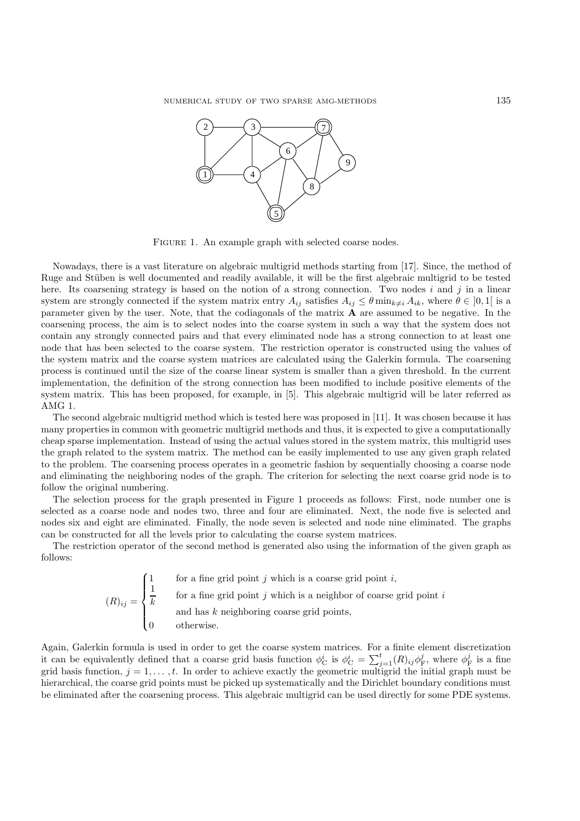

FIGURE 1. An example graph with selected coarse nodes.

Nowadays, there is a vast literature on algebraic multigrid methods starting from [17]. Since, the method of Ruge and Stüben is well documented and readily available, it will be the first algebraic multigrid to be tested here. Its coarsening strategy is based on the notion of a strong connection. Two nodes i and j in a linear system are strongly connected if the system matrix entry  $A_{ij}$  satisfies  $A_{ij} \leq \theta \min_{k \neq i} A_{ik}$ , where  $\theta \in [0,1]$  is a parameter given by the user. Note, that the codiagonals of the matrix **A** are assumed to be negative. In the coarsening process, the aim is to select nodes into the coarse system in such a way that the system does not contain any strongly connected pairs and that every eliminated node has a strong connection to at least one node that has been selected to the coarse system. The restriction operator is constructed using the values of the system matrix and the coarse system matrices are calculated using the Galerkin formula. The coarsening process is continued until the size of the coarse linear system is smaller than a given threshold. In the current implementation, the definition of the strong connection has been modified to include positive elements of the system matrix. This has been proposed, for example, in [5]. This algebraic multigrid will be later referred as AMG 1.

The second algebraic multigrid method which is tested here was proposed in [11]. It was chosen because it has many properties in common with geometric multigrid methods and thus, it is expected to give a computationally cheap sparse implementation. Instead of using the actual values stored in the system matrix, this multigrid uses the graph related to the system matrix. The method can be easily implemented to use any given graph related to the problem. The coarsening process operates in a geometric fashion by sequentially choosing a coarse node and eliminating the neighboring nodes of the graph. The criterion for selecting the next coarse grid node is to follow the original numbering.

The selection process for the graph presented in Figure 1 proceeds as follows: First, node number one is selected as a coarse node and nodes two, three and four are eliminated. Next, the node five is selected and nodes six and eight are eliminated. Finally, the node seven is selected and node nine eliminated. The graphs can be constructed for all the levels prior to calculating the coarse system matrices.

The restriction operator of the second method is generated also using the information of the given graph as follows:

> $(R)_{ij} =$  $\sqrt{ }$  $\int$  $\overline{\mathcal{L}}$ for a fine grid point  $j$  which is a coarse grid point  $i$ ,  $\frac{1}{k}$  for a fine grid point j which is a neighbor of coarse grid point i and has  $k$  neighboring coarse grid points, 0 otherwise.

Again, Galerkin formula is used in order to get the coarse system matrices. For a finite element discretization it can be equivalently defined that a coarse grid basis function  $\phi_{\rm C}^i$  is  $\phi_{\rm C}^i = \sum_{j=1}^t (R)_{ij} \phi_{\rm F}^j$ , where  $\phi_{\rm F}^j$  is a fine grid basis function,  $j = 1, \ldots, t$ . In order to achieve exactly the geometric multigrid the initial graph must be hierarchical, the coarse grid points must be picked up systematically and the Dirichlet boundary conditions must be eliminated after the coarsening process. This algebraic multigrid can be used directly for some PDE systems.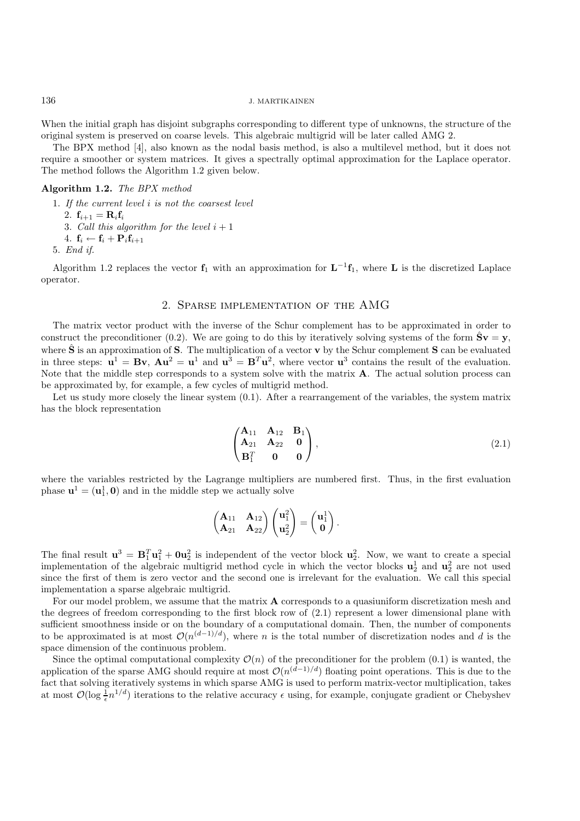When the initial graph has disjoint subgraphs corresponding to different type of unknowns, the structure of the original system is preserved on coarse levels. This algebraic multigrid will be later called AMG 2.

The BPX method [4], also known as the nodal basis method, is also a multilevel method, but it does not require a smoother or system matrices. It gives a spectrally optimal approximation for the Laplace operator. The method follows the Algorithm 1.2 given below.

## **Algorithm 1.2.** *The BPX method*

- 1. *If the current level* i *is not the coarsest level*
	- 2.  $f_{i+1} = R_i f_i$
	- 3. *Call this algorithm for the level*  $i + 1$
	- 4.  $\mathbf{f}_i \leftarrow \mathbf{f}_i + \mathbf{P}_i \mathbf{f}_{i+1}$

5. *End if.*

Algorithm 1.2 replaces the vector  $f_1$  with an approximation for  $L^{-1}f_1$ , where L is the discretized Laplace operator.

# 2. Sparse implementation of the AMG

The matrix vector product with the inverse of the Schur complement has to be approximated in order to construct the preconditioner (0.2). We are going to do this by iteratively solving systems of the form  $\hat{S}v = y$ , where  $\hat{\mathbf{S}}$  is an approximation of **S**. The multiplication of a vector **v** by the Schur complement **S** can be evaluated in three steps:  $\mathbf{u}^1 = \mathbf{B}\mathbf{v}$ ,  $\mathbf{A}\mathbf{u}^2 = \mathbf{u}^1$  and  $\mathbf{u}^3 = \mathbf{B}^T\mathbf{u}^2$ , where vector  $\mathbf{u}^3$  contains the result of the evaluation. Note that the middle step corresponds to a system solve with the matrix **A**. The actual solution process can be approximated by, for example, a few cycles of multigrid method.

Let us study more closely the linear system  $(0.1)$ . After a rearrangement of the variables, the system matrix has the block representation

$$
\begin{pmatrix}\nA_{11} & A_{12} & B_1 \\
A_{21} & A_{22} & 0 \\
B_1^T & 0 & 0\n\end{pmatrix},
$$
\n(2.1)

where the variables restricted by the Lagrange multipliers are numbered first. Thus, in the first evaluation phase  $\mathbf{u}^1 = (\mathbf{u}_1^1, \mathbf{0})$  and in the middle step we actually solve

$$
\begin{pmatrix} A_{11} & A_{12} \ A_{21} & A_{22} \end{pmatrix} \begin{pmatrix} \mathbf{u}_1^2 \\ \mathbf{u}_2^2 \end{pmatrix} = \begin{pmatrix} \mathbf{u}_1^1 \\ \mathbf{0} \end{pmatrix}.
$$

The final result  $\mathbf{u}^3 = \mathbf{B}_1^T \mathbf{u}_1^2 + \mathbf{0} \mathbf{u}_2^2$  is independent of the vector block  $\mathbf{u}_2^2$ . Now, we want to create a special implementation of the algebraic multigrid method cycle in which the vector blocks  $\mathbf{u}_2^1$  and  $\mathbf{u}_2^2$  are not used since the first of them is zero vector and the second one is irrelevant for the evaluation. We call this special implementation a sparse algebraic multigrid.

For our model problem, we assume that the matrix **A** corresponds to a quasiuniform discretization mesh and the degrees of freedom corresponding to the first block row of (2.1) represent a lower dimensional plane with sufficient smoothness inside or on the boundary of a computational domain. Then, the number of components to be approximated is at most  $\mathcal{O}(n^{(d-1)/d})$ , where n is the total number of discretization nodes and d is the space dimension of the continuous problem.

Since the optimal computational complexity  $\mathcal{O}(n)$  of the preconditioner for the problem (0.1) is wanted, the application of the sparse AMG should require at most  $\mathcal{O}(n^{(d-1)/d})$  floating point operations. This is due to the fact that solving iteratively systems in which sparse AMG is used to perform matrix-vector multiplication, takes at most  $\mathcal{O}(\log \frac{1}{\epsilon}n^{1/d})$  iterations to the relative accuracy  $\epsilon$  using, for example, conjugate gradient or Chebyshev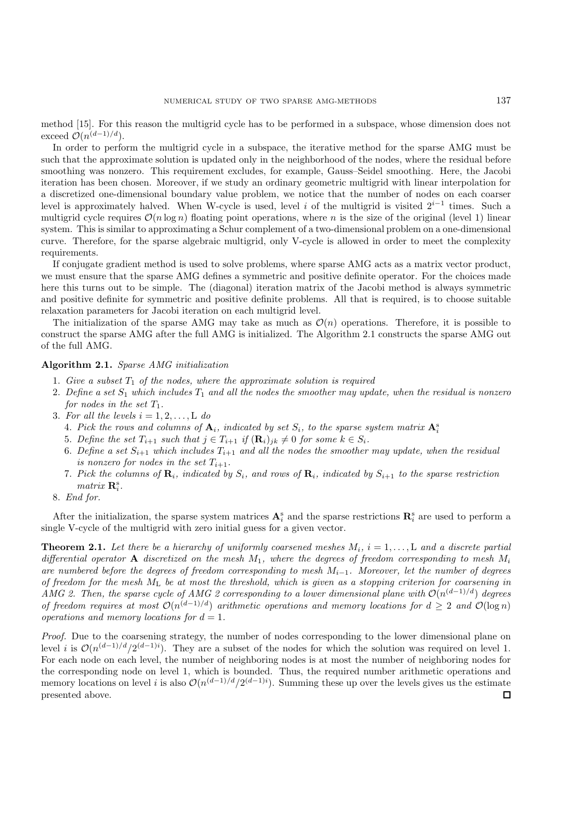method [15]. For this reason the multigrid cycle has to be performed in a subspace, whose dimension does not exceed  $\mathcal{O}(n^{(d-1)/d})$ .

In order to perform the multigrid cycle in a subspace, the iterative method for the sparse AMG must be such that the approximate solution is updated only in the neighborhood of the nodes, where the residual before smoothing was nonzero. This requirement excludes, for example, Gauss–Seidel smoothing. Here, the Jacobi iteration has been chosen. Moreover, if we study an ordinary geometric multigrid with linear interpolation for a discretized one-dimensional boundary value problem, we notice that the number of nodes on each coarser level is approximately halved. When W-cycle is used, level i of the multigrid is visited  $2^{i-1}$  times. Such a multigrid cycle requires  $\mathcal{O}(n \log n)$  floating point operations, where n is the size of the original (level 1) linear system. This is similar to approximating a Schur complement of a two-dimensional problem on a one-dimensional curve. Therefore, for the sparse algebraic multigrid, only V-cycle is allowed in order to meet the complexity requirements.

If conjugate gradient method is used to solve problems, where sparse AMG acts as a matrix vector product, we must ensure that the sparse AMG defines a symmetric and positive definite operator. For the choices made here this turns out to be simple. The (diagonal) iteration matrix of the Jacobi method is always symmetric and positive definite for symmetric and positive definite problems. All that is required, is to choose suitable relaxation parameters for Jacobi iteration on each multigrid level.

The initialization of the sparse AMG may take as much as  $\mathcal{O}(n)$  operations. Therefore, it is possible to construct the sparse AMG after the full AMG is initialized. The Algorithm 2.1 constructs the sparse AMG out of the full AMG.

#### **Algorithm 2.1.** *Sparse AMG initialization*

- 1. Give a subset  $T_1$  of the nodes, where the approximate solution is required
- 2. Define a set  $S_1$  which includes  $T_1$  and all the nodes the smoother may update, when the residual is nonzero *for nodes in the set*  $T_1$ *.*
- 3. For all the levels  $i = 1, 2, \ldots, L$  do
	- 4. Pick the rows and columns of  $A_i$ , indicated by set  $S_i$ , to the sparse system matrix  $A_i^s$
	- 5. Define the set  $T_{i+1}$  such that  $j \in T_{i+1}$  if  $(\mathbf{R}_i)_{jk} \neq 0$  for some  $k \in S_i$ .
	- 6. Define a set  $S_{i+1}$  which includes  $T_{i+1}$  and all the nodes the smoother may update, when the residual *is nonzero for nodes in the set*  $T_{i+1}$ *.*
	- 7. Pick the columns of  $\mathbf{R}_i$ , indicated by  $S_i$ , and rows of  $\mathbf{R}_i$ , indicated by  $S_{i+1}$  to the sparse restriction *matrix*  $\mathbf{R}_i^s$ .
- 8. *End for.*

After the initialization, the sparse system matrices  $A_i^s$  and the sparse restrictions  $\mathbf{R}_i^s$  are used to perform a single V-cycle of the multigrid with zero initial guess for a given vector.

**Theorem 2.1.** Let there be a hierarchy of uniformly coarsened meshes  $M_i$ ,  $i = 1, \ldots, L$  and a discrete partial *differential operator* **A** *discretized on the mesh* M1*, where the degrees of freedom corresponding to mesh* M<sup>i</sup> *are numbered before the degrees of freedom corresponding to mesh* <sup>M</sup><sup>i</sup>−<sup>1</sup>*. Moreover, let the number of degrees of freedom for the mesh* M<sup>L</sup> *be at most the threshold, which is given as a stopping criterion for coarsening in AMG 2. Then, the sparse cycle of AMG 2 corresponding to a lower dimensional plane with*  $O(n^{(d-1)/d})$  *degrees of freedom requires at most*  $O(n^{(d-1)/d})$  *arithmetic operations and memory locations for*  $d \geq 2$  *and*  $O(\log n)$ *operations and memory locations for*  $d = 1$ *.* 

*Proof.* Due to the coarsening strategy, the number of nodes corresponding to the lower dimensional plane on level i is  $\mathcal{O}(n^{(d-1)/d}/2^{(d-1)i})$ . They are a subset of the nodes for which the solution was required on level 1. For each node on each level, the number of neighboring nodes is at most the number of neighboring nodes for the corresponding node on level 1, which is bounded. Thus, the required number arithmetic operations and memory locations on level i is also  $\mathcal{O}(n^{(d-1)/d}/2^{(d-1)i})$ . Summing these up over the levels gives us the estimate presented above. $\Box$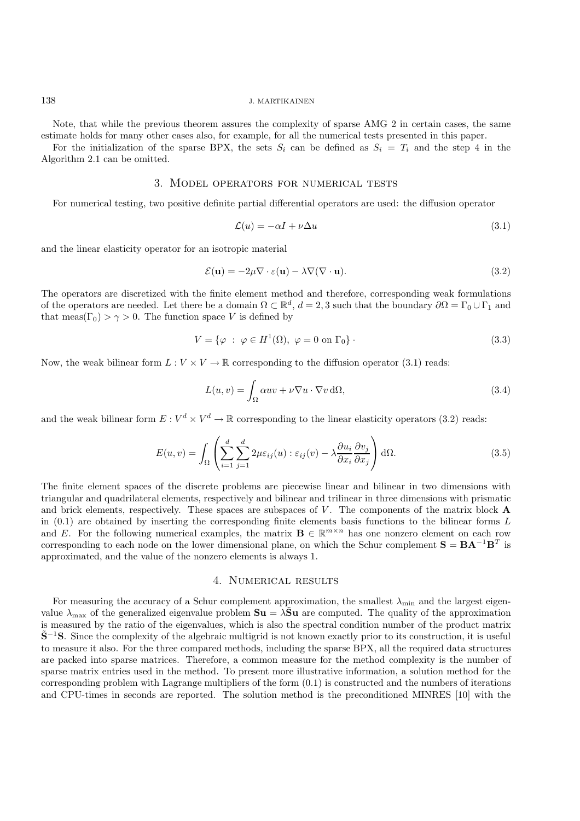Note, that while the previous theorem assures the complexity of sparse AMG 2 in certain cases, the same estimate holds for many other cases also, for example, for all the numerical tests presented in this paper.

For the initialization of the sparse BPX, the sets  $S_i$  can be defined as  $S_i = T_i$  and the step 4 in the Algorithm 2.1 can be omitted.

#### 3. Model operators for numerical tests

For numerical testing, two positive definite partial differential operators are used: the diffusion operator

$$
\mathcal{L}(u) = -\alpha I + \nu \Delta u \tag{3.1}
$$

and the linear elasticity operator for an isotropic material

$$
\mathcal{E}(\mathbf{u}) = -2\mu \nabla \cdot \varepsilon(\mathbf{u}) - \lambda \nabla (\nabla \cdot \mathbf{u}).
$$
\n(3.2)

The operators are discretized with the finite element method and therefore, corresponding weak formulations of the operators are needed. Let there be a domain  $\Omega \subset \mathbb{R}^d$ ,  $d = 2, 3$  such that the boundary  $\partial \Omega = \Gamma_0 \cup \Gamma_1$  and that meas( $\Gamma_0$ ) >  $\gamma$  > 0. The function space V is defined by

$$
V = \{ \varphi \; : \; \varphi \in H^1(\Omega), \; \varphi = 0 \text{ on } \Gamma_0 \} \, . \tag{3.3}
$$

Now, the weak bilinear form  $L: V \times V \to \mathbb{R}$  corresponding to the diffusion operator (3.1) reads:

$$
L(u, v) = \int_{\Omega} \alpha uv + \nu \nabla u \cdot \nabla v \, d\Omega,
$$
\n(3.4)

and the weak bilinear form  $E: V^d \times V^d \to \mathbb{R}$  corresponding to the linear elasticity operators (3.2) reads:

$$
E(u,v) = \int_{\Omega} \left( \sum_{i=1}^{d} \sum_{j=1}^{d} 2\mu \varepsilon_{ij}(u) : \varepsilon_{ij}(v) - \lambda \frac{\partial u_i}{\partial x_i} \frac{\partial v_j}{\partial x_j} \right) d\Omega.
$$
 (3.5)

The finite element spaces of the discrete problems are piecewise linear and bilinear in two dimensions with triangular and quadrilateral elements, respectively and bilinear and trilinear in three dimensions with prismatic and brick elements, respectively. These spaces are subspaces of V. The components of the matrix block **A** in  $(0.1)$  are obtained by inserting the corresponding finite elements basis functions to the bilinear forms L and E. For the following numerical examples, the matrix  $\mathbf{B} \in \mathbb{R}^{m \times n}$  has one nonzero element on each row corresponding to each node on the lower dimensional plane, on which the Schur complement  $S = BA^{-1}B^{T}$  is approximated, and the value of the nonzero elements is always 1.

# 4. Numerical results

For measuring the accuracy of a Schur complement approximation, the smallest  $\lambda_{\min}$  and the largest eigenvalue  $\lambda_{\text{max}}$  of the generalized eigenvalue problem  $S_u = \lambda \tilde{S}_u$  are computed. The quality of the approximation is measured by the ratio of the eigenvalues, which is also the spectral condition number of the product matrix **S**˜−<sup>1</sup>**S**. Since the complexity of the algebraic multigrid is not known exactly prior to its construction, it is useful to measure it also. For the three compared methods, including the sparse BPX, all the required data structures are packed into sparse matrices. Therefore, a common measure for the method complexity is the number of sparse matrix entries used in the method. To present more illustrative information, a solution method for the corresponding problem with Lagrange multipliers of the form (0.1) is constructed and the numbers of iterations and CPU-times in seconds are reported. The solution method is the preconditioned MINRES [10] with the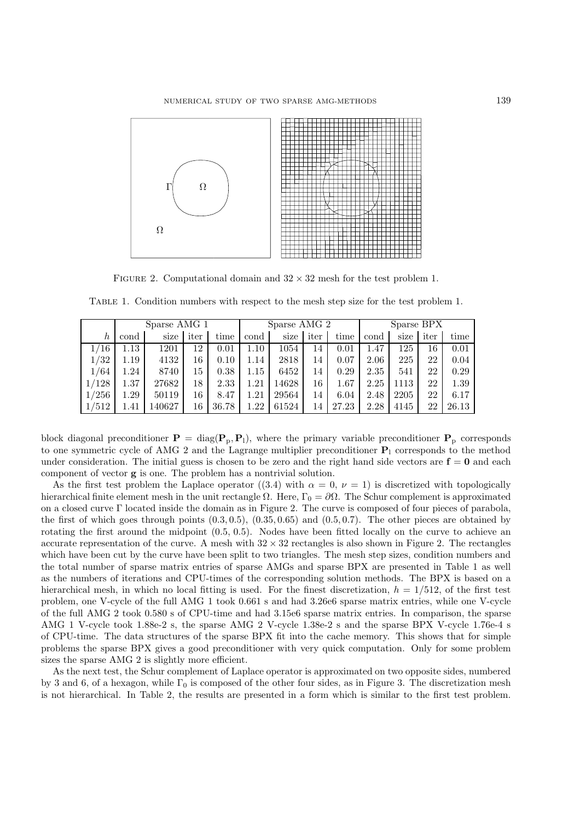

FIGURE 2. Computational domain and  $32 \times 32$  mesh for the test problem 1.

|       |      | Sparse AMG 1 |      |       | Sparse AMG 2 |       | Sparse BPX |       |      |      |      |       |
|-------|------|--------------|------|-------|--------------|-------|------------|-------|------|------|------|-------|
| h     | cond | size         | iter | time  | cond         | size  | iter       | time  | cond | size | iter | time  |
| /16   | .13  | 1201         | 12   | 0.01  | $1.10\,$     | 1054  | 14         | 0.01  | 1.47 | 125  | 16   | 0.01  |
| 1/32  | 1.19 | 4132         | 16   | 0.10  | 1.14         | 2818  | 14         | 0.07  | 2.06 | 225  | 22   | 0.04  |
| 1/64  | 1.24 | 8740         | 15   | 0.38  | 1.15         | 6452  | 14         | 0.29  | 2.35 | 541  | 22   | 0.29  |
| 1/128 | 1.37 | 27682        | 18   | 2.33  | $1.21\,$     | 14628 | 16         | 1.67  | 2.25 | 1113 | 22   | 1.39  |
| 1/256 | 1.29 | 50119        | 16   | 8.47  | $1.21\,$     | 29564 | 14         | 6.04  | 2.48 | 2205 | 22   | 6.17  |
| 1/512 | l.41 | 140627       | 16   | 36.78 | 1.22         | 61524 | 14         | 27.23 | 2.28 | 4145 | 22   | 26.13 |

Table 1. Condition numbers with respect to the mesh step size for the test problem 1.

block diagonal preconditioner  $P = diag(P_p, P_l)$ , where the primary variable preconditioner  $P_p$  corresponds to one symmetric cycle of AMG 2 and the Lagrange multiplier preconditioner **P**<sup>l</sup> corresponds to the method under consideration. The initial guess is chosen to be zero and the right hand side vectors are  $f = 0$  and each component of vector **g** is one. The problem has a nontrivial solution.

As the first test problem the Laplace operator ((3.4) with  $\alpha = 0, \nu = 1$ ) is discretized with topologically hierarchical finite element mesh in the unit rectangle  $\Omega$ . Here,  $\Gamma_0 = \partial \Omega$ . The Schur complement is approximated on a closed curve Γ located inside the domain as in Figure 2. The curve is composed of four pieces of parabola, the first of which goes through points  $(0.3, 0.5)$ ,  $(0.35, 0.65)$  and  $(0.5, 0.7)$ . The other pieces are obtained by rotating the first around the midpoint  $(0.5, 0.5)$ . Nodes have been fitted locally on the curve to achieve an accurate representation of the curve. A mesh with  $32 \times 32$  rectangles is also shown in Figure 2. The rectangles which have been cut by the curve have been split to two triangles. The mesh step sizes, condition numbers and the total number of sparse matrix entries of sparse AMGs and sparse BPX are presented in Table 1 as well as the numbers of iterations and CPU-times of the corresponding solution methods. The BPX is based on a hierarchical mesh, in which no local fitting is used. For the finest discretization,  $h = 1/512$ , of the first test problem, one V-cycle of the full AMG 1 took 0.661 s and had 3.26e6 sparse matrix entries, while one V-cycle of the full AMG 2 took 0.580 s of CPU-time and had 3.15e6 sparse matrix entries. In comparison, the sparse AMG 1 V-cycle took 1.88e-2 s, the sparse AMG 2 V-cycle 1.38e-2 s and the sparse BPX V-cycle 1.76e-4 s of CPU-time. The data structures of the sparse BPX fit into the cache memory. This shows that for simple problems the sparse BPX gives a good preconditioner with very quick computation. Only for some problem sizes the sparse AMG 2 is slightly more efficient.

As the next test, the Schur complement of Laplace operator is approximated on two opposite sides, numbered by 3 and 6, of a hexagon, while  $\Gamma_0$  is composed of the other four sides, as in Figure 3. The discretization mesh is not hierarchical. In Table 2, the results are presented in a form which is similar to the first test problem.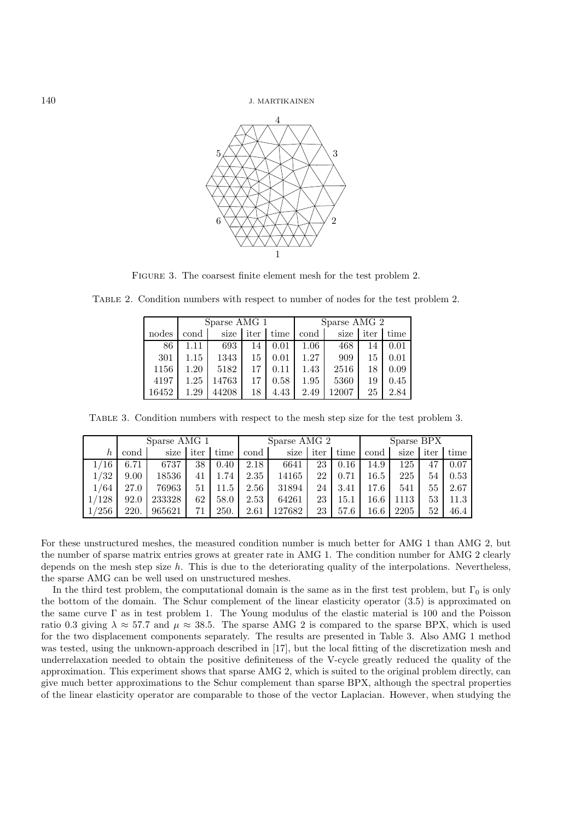

FIGURE 3. The coarsest finite element mesh for the test problem 2.

|       |      | Sparse AMG 1 |      |      | Sparse AMG 2 |       |      |      |  |  |  |
|-------|------|--------------|------|------|--------------|-------|------|------|--|--|--|
| nodes | cond | size         | iter | time | cond         | size  | iter | time |  |  |  |
| 86    | 1.11 | 693          | 14   | 0.01 | 1.06         | 468   | 14   | 0.01 |  |  |  |
| 301   | 1.15 | 1343         | 15   | 0.01 | 1.27         | 909   | 15   | 0.01 |  |  |  |
| 1156  | 1.20 | 5182         | 17   | 0.11 | 1.43         | 2516  | 18   | 0.09 |  |  |  |
| 4197  | 1.25 | 14763        | 17   | 0.58 | 1.95         | 5360  | 19   | 0.45 |  |  |  |
| 16452 | 1.29 | 44208        | 18   | 4.43 | 2.49         | 12007 | 25   | 2.84 |  |  |  |

Table 2. Condition numbers with respect to number of nodes for the test problem 2.

Table 3. Condition numbers with respect to the mesh step size for the test problem 3.

|       | Sparse AMG 1 |        |      |      |      | Sparse AMG 2 | Sparse BPX |      |          |      |      |      |
|-------|--------------|--------|------|------|------|--------------|------------|------|----------|------|------|------|
| h     | cond         | size   | iter | time | cond | size         | iter       | time | cond     | size | iter | time |
| '16   | 6.71         | 6737   | 38   | 0.40 | 2.18 | 6641         | 23         | 0.16 | 14.9     | 125  | 47   | 0.07 |
| 1/32  | 9.00         | 18536  | 41   | 1.74 | 2.35 | 14165        | 22         | 0.71 | $16.5\,$ | 225  | 54   | 0.53 |
| 1/64  | 27.0         | 76963  | 51   | 11.5 | 2.56 | 31894        | 24         | 3.41 | 17.6     | 541  | 55   | 2.67 |
| 1/128 | 92.0         | 233328 | 62   | 58.0 | 2.53 | 64261        | 23         | 15.1 | $16.6\,$ | 1113 | 53   | 11.3 |
| 1/256 | 220.         | 965621 | 71   | 250. | 2.61 | 127682       | 23         | 57.6 | $16.6\,$ | 2205 | 52   | 46.4 |

For these unstructured meshes, the measured condition number is much better for AMG 1 than AMG 2, but the number of sparse matrix entries grows at greater rate in AMG 1. The condition number for AMG 2 clearly depends on the mesh step size  $h$ . This is due to the deteriorating quality of the interpolations. Nevertheless, the sparse AMG can be well used on unstructured meshes.

In the third test problem, the computational domain is the same as in the first test problem, but  $\Gamma_0$  is only the bottom of the domain. The Schur complement of the linear elasticity operator (3.5) is approximated on the same curve Γ as in test problem 1. The Young modulus of the elastic material is 100 and the Poisson ratio 0.3 giving  $\lambda \approx 57.7$  and  $\mu \approx 38.5$ . The sparse AMG 2 is compared to the sparse BPX, which is used for the two displacement components separately. The results are presented in Table 3. Also AMG 1 method was tested, using the unknown-approach described in [17], but the local fitting of the discretization mesh and underrelaxation needed to obtain the positive definiteness of the V-cycle greatly reduced the quality of the approximation. This experiment shows that sparse AMG 2, which is suited to the original problem directly, can give much better approximations to the Schur complement than sparse BPX, although the spectral properties of the linear elasticity operator are comparable to those of the vector Laplacian. However, when studying the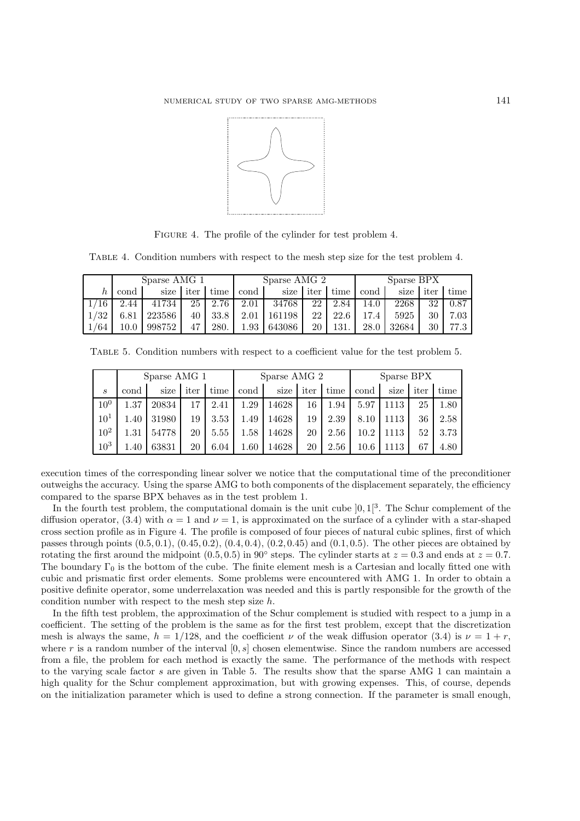

FIGURE 4. The profile of the cylinder for test problem 4.

Table 4. Condition numbers with respect to the mesh step size for the test problem 4.

|       | Sparse AMG 1 |        |      |      |          | Sparse AMG 2 |      | Sparse BPX |      |       |      |      |
|-------|--------------|--------|------|------|----------|--------------|------|------------|------|-------|------|------|
|       | cond         | size   | iter | time | cond     | size         | iter | time       | cond | size  | iter | time |
|       | 2.44         | 41734  | 25   | 2.76 | 2.01     | 34768        | 22   | 2.84       | 14.0 | 2268  | 32   | 0.87 |
| 1/32  | 6.81         | 223586 | 40   | 33.8 | 2.01     | 161198       | 22   | 22.6       | 17.4 | 5925  | 30   | 7.03 |
| $-64$ | 10.0         | 998752 | 47   | 280. | $1.93\,$ | 643086       | 20   | 131.       | 28.0 | 32684 | 30   | 77.3 |

Table 5. Condition numbers with respect to a coefficient value for the test problem 5.

|                 |          | Sparse AMG 1 |      |      |          | Sparse AMG 2 |      | Sparse BPX |          |      |      |      |
|-----------------|----------|--------------|------|------|----------|--------------|------|------------|----------|------|------|------|
| S               | cond     | size         | iter | time | cond     | size         | iter | time       | cond     | size | iter | time |
| 10 <sup>0</sup> | 1.37     | 20834        | 17   | 2.41 | 1.29     | 14628        | 16   | 1.94       | 5.97     | 1113 | 25   | 1.80 |
| $10^{1}$        | 1.40     | 31980        | 19   | 3.53 | 1.49     | 14628        | 19   | 2.39       | 8.10     | 1113 | 36   | 2.58 |
| $10^{2}$        | $1.31\,$ | 54778        | 20   | 5.55 | $1.58\,$ | 14628        | 20   | 2.56       | $10.2\,$ | 1113 | 52   | 3.73 |
| $10^{3}$        | 1.40     | 63831        | 20   | 6.04 | $1.60\,$ | 14628        | 20   | 2.56       | $10.6\,$ | 1113 | 67   | 4.80 |

execution times of the corresponding linear solver we notice that the computational time of the preconditioner outweighs the accuracy. Using the sparse AMG to both components of the displacement separately, the efficiency compared to the sparse BPX behaves as in the test problem 1.

In the fourth test problem, the computational domain is the unit cube  $]0, 1[^3$ . The Schur complement of the diffusion operator, (3.4) with  $\alpha = 1$  and  $\nu = 1$ , is approximated on the surface of a cylinder with a star-shaped cross section profile as in Figure 4. The profile is composed of four pieces of natural cubic splines, first of which passes through points  $(0.5, 0.1), (0.45, 0.2), (0.4, 0.4), (0.2, 0.45)$  and  $(0.1, 0.5)$ . The other pieces are obtained by rotating the first around the midpoint  $(0.5, 0.5)$  in 90° steps. The cylinder starts at  $z = 0.3$  and ends at  $z = 0.7$ . The boundary  $\Gamma_0$  is the bottom of the cube. The finite element mesh is a Cartesian and locally fitted one with cubic and prismatic first order elements. Some problems were encountered with AMG 1. In order to obtain a positive definite operator, some underrelaxation was needed and this is partly responsible for the growth of the condition number with respect to the mesh step size h.

In the fifth test problem, the approximation of the Schur complement is studied with respect to a jump in a coefficient. The setting of the problem is the same as for the first test problem, except that the discretization mesh is always the same,  $h = 1/128$ , and the coefficient  $\nu$  of the weak diffusion operator (3.4) is  $\nu = 1+r$ , where r is a random number of the interval  $[0, s]$  chosen elementwise. Since the random numbers are accessed from a file, the problem for each method is exactly the same. The performance of the methods with respect to the varying scale factor s are given in Table 5. The results show that the sparse AMG 1 can maintain a high quality for the Schur complement approximation, but with growing expenses. This, of course, depends on the initialization parameter which is used to define a strong connection. If the parameter is small enough,